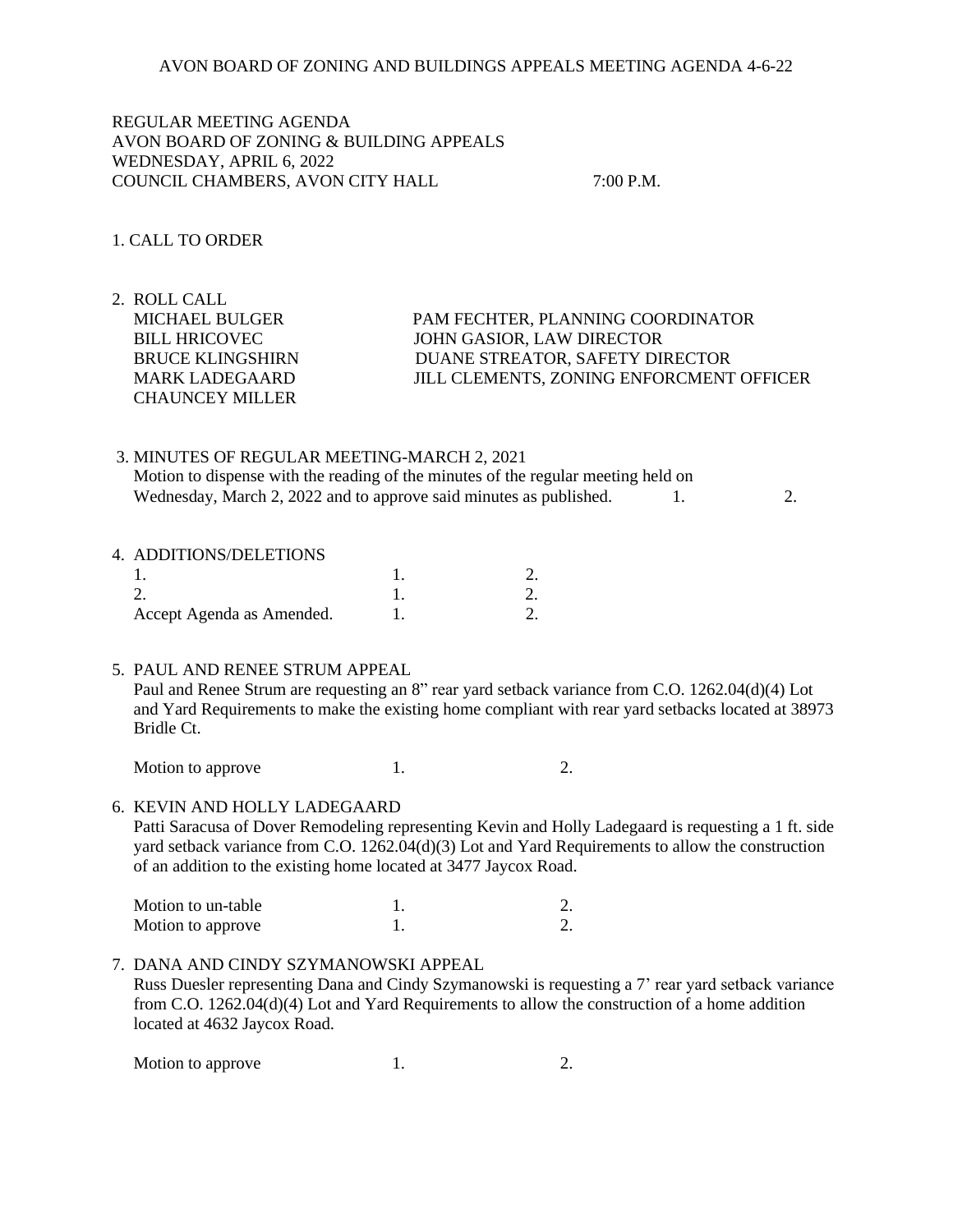REGULAR MEETING AGENDA AVON BOARD OF ZONING & BUILDING APPEALS WEDNESDAY, APRIL 6, 2022 COUNCIL CHAMBERS, AVON CITY HALL 7:00 P.M.

#### 1. CALL TO ORDER

2. ROLL CALL MICHAEL BULGER PAM FECHTER, PLANNING COORDINATOR BILL HRICOVEC JOHN GASIOR, LAW DIRECTOR BRUCE KLINGSHIRN DUANE STREATOR, SAFETY DIRECTOR MARK LADEGAARD JILL CLEMENTS, ZONING ENFORCMENT OFFICER CHAUNCEY MILLER

### 3. MINUTES OF REGULAR MEETING-MARCH 2, 2021 Motion to dispense with the reading of the minutes of the regular meeting held on Wednesday, March 2, 2022 and to approve said minutes as published.  $1.$  2.

4. ADDITIONS/DELETIONS

| Accept Agenda as Amended. |  |
|---------------------------|--|

#### 5. PAUL AND RENEE STRUM APPEAL

 Paul and Renee Strum are requesting an 8" rear yard setback variance from C.O. 1262.04(d)(4) Lot and Yard Requirements to make the existing home compliant with rear yard setbacks located at 38973 Bridle Ct.

Motion to approve 1. 2.

#### 6. KEVIN AND HOLLY LADEGAARD

 Patti Saracusa of Dover Remodeling representing Kevin and Holly Ladegaard is requesting a 1 ft. side yard setback variance from C.O. 1262.04(d)(3) Lot and Yard Requirements to allow the construction of an addition to the existing home located at 3477 Jaycox Road.

| Motion to un-table |  |
|--------------------|--|
| Motion to approve  |  |

# 7. DANA AND CINDY SZYMANOWSKI APPEAL Russ Duesler representing Dana and Cindy Szymanowski is requesting a 7' rear yard setback variance from C.O. 1262.04(d)(4) Lot and Yard Requirements to allow the construction of a home addition located at 4632 Jaycox Road.

Motion to approve 1. 2.